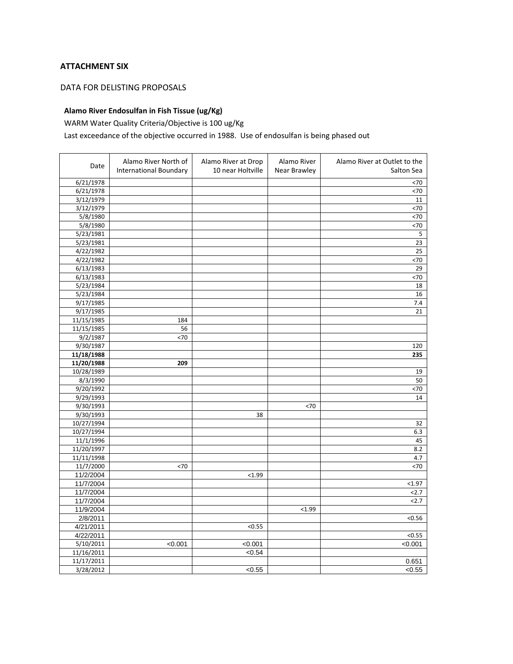#### **ATTACHMENT SIX**

#### DATA FOR DELISTING PROPOSALS

### **Alamo River Endosulfan in Fish Tissue (ug/Kg)**

WARM Water Quality Criteria/Objective is 100 ug/Kg

## Last exceedance of the objective occurred in 1988. Use of endosulfan is being phased out

| Date       | Alamo River North of<br><b>International Boundary</b> | Alamo River at Drop<br>10 near Holtville | Alamo River<br>Near Brawley | Alamo River at Outlet to the<br>Salton Sea |
|------------|-------------------------------------------------------|------------------------------------------|-----------------------------|--------------------------------------------|
| 6/21/1978  |                                                       |                                          |                             | < 70                                       |
| 6/21/1978  |                                                       |                                          |                             | <70                                        |
| 3/12/1979  |                                                       |                                          |                             | 11                                         |
| 3/12/1979  |                                                       |                                          |                             | <70                                        |
| 5/8/1980   |                                                       |                                          |                             | <70                                        |
| 5/8/1980   |                                                       |                                          |                             | $70$                                       |
| 5/23/1981  |                                                       |                                          |                             | 5                                          |
| 5/23/1981  |                                                       |                                          |                             | 23                                         |
| 4/22/1982  |                                                       |                                          |                             | 25                                         |
| 4/22/1982  |                                                       |                                          |                             | < 70                                       |
| 6/13/1983  |                                                       |                                          |                             | 29                                         |
| 6/13/1983  |                                                       |                                          |                             | < 70                                       |
| 5/23/1984  |                                                       |                                          |                             | 18                                         |
| 5/23/1984  |                                                       |                                          |                             | 16                                         |
| 9/17/1985  |                                                       |                                          |                             | 7.4                                        |
| 9/17/1985  |                                                       |                                          |                             | 21                                         |
| 11/15/1985 | 184                                                   |                                          |                             |                                            |
| 11/15/1985 | 56                                                    |                                          |                             |                                            |
| 9/2/1987   | < 70                                                  |                                          |                             |                                            |
| 9/30/1987  |                                                       |                                          |                             | 120                                        |
| 11/18/1988 |                                                       |                                          |                             | 235                                        |
| 11/20/1988 | 209                                                   |                                          |                             |                                            |
| 10/28/1989 |                                                       |                                          |                             | 19                                         |
| 8/3/1990   |                                                       |                                          |                             | 50                                         |
| 9/20/1992  |                                                       |                                          |                             | < 70                                       |
| 9/29/1993  |                                                       |                                          |                             | 14                                         |
| 9/30/1993  |                                                       |                                          | $70$                        |                                            |
| 9/30/1993  |                                                       | 38                                       |                             |                                            |
| 10/27/1994 |                                                       |                                          |                             | 32                                         |
| 10/27/1994 |                                                       |                                          |                             | 6.3                                        |
| 11/1/1996  |                                                       |                                          |                             | 45                                         |
| 11/20/1997 |                                                       |                                          |                             | 8.2                                        |
| 11/11/1998 |                                                       |                                          |                             | 4.7                                        |
| 11/7/2000  | < 70                                                  |                                          |                             | < 70                                       |
| 11/2/2004  |                                                       | < 1.99                                   |                             |                                            |
| 11/7/2004  |                                                       |                                          |                             | < 1.97                                     |
| 11/7/2004  |                                                       |                                          |                             | 2.7                                        |
| 11/7/2004  |                                                       |                                          |                             | 2.7                                        |
| 11/9/2004  |                                                       |                                          | < 1.99                      |                                            |
| 2/8/2011   |                                                       |                                          |                             | < 0.56                                     |
| 4/21/2011  |                                                       | < 0.55                                   |                             |                                            |
| 4/22/2011  |                                                       |                                          |                             | < 0.55                                     |
| 5/10/2011  | < 0.001                                               | < 0.001                                  |                             | < 0.001                                    |
| 11/16/2011 |                                                       | 54                                       |                             |                                            |
| 11/17/2011 |                                                       |                                          |                             | 0.651                                      |
| 3/28/2012  |                                                       | < 0.55                                   |                             | < 0.55                                     |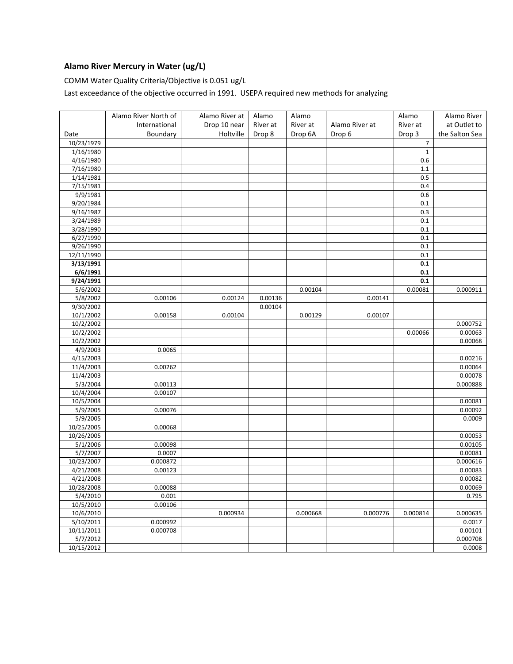# **Alamo River Mercury in Water (ug/L)**

COMM Water Quality Criteria/Objective is 0.051 ug/L

Last exceedance of the objective occurred in 1991. USEPA required new methods for analyzing

|            | Alamo River North of | Alamo River at | Alamo    | Alamo    |                | Alamo          | Alamo River    |
|------------|----------------------|----------------|----------|----------|----------------|----------------|----------------|
|            | International        | Drop 10 near   | River at | River at | Alamo River at | River at       | at Outlet to   |
| Date       | Boundary             | Holtville      | Drop 8   | Drop 6A  | Drop 6         | Drop 3         | the Salton Sea |
| 10/23/1979 |                      |                |          |          |                | $\overline{7}$ |                |
| 1/16/1980  |                      |                |          |          |                | $\mathbf{1}$   |                |
| 4/16/1980  |                      |                |          |          |                | 0.6            |                |
| 7/16/1980  |                      |                |          |          |                | 1.1            |                |
| 1/14/1981  |                      |                |          |          |                | 0.5            |                |
| 7/15/1981  |                      |                |          |          |                | 0.4            |                |
| 9/9/1981   |                      |                |          |          |                | 0.6            |                |
| 9/20/1984  |                      |                |          |          |                | 0.1            |                |
| 9/16/1987  |                      |                |          |          |                | 0.3            |                |
| 3/24/1989  |                      |                |          |          |                | 0.1            |                |
| 3/28/1990  |                      |                |          |          |                | 0.1            |                |
| 6/27/1990  |                      |                |          |          |                | 0.1            |                |
| 9/26/1990  |                      |                |          |          |                | 0.1            |                |
| 12/11/1990 |                      |                |          |          |                | 0.1            |                |
| 3/13/1991  |                      |                |          |          |                | 0.1            |                |
| 6/6/1991   |                      |                |          |          |                | 0.1            |                |
| 9/24/1991  |                      |                |          |          |                | 0.1            |                |
| 5/6/2002   |                      |                |          | 0.00104  |                | 0.00081        | 0.000911       |
| 5/8/2002   | 0.00106              | 0.00124        | 0.00136  |          | 0.00141        |                |                |
| 9/30/2002  |                      |                | 0.00104  |          |                |                |                |
| 10/1/2002  | 0.00158              | 0.00104        |          | 0.00129  | 0.00107        |                |                |
| 10/2/2002  |                      |                |          |          |                |                | 0.000752       |
| 10/2/2002  |                      |                |          |          |                | 0.00066        | 0.00063        |
| 10/2/2002  |                      |                |          |          |                |                | 0.00068        |
| 4/9/2003   | 0.0065               |                |          |          |                |                |                |
| 4/15/2003  |                      |                |          |          |                |                | 0.00216        |
| 11/4/2003  | 0.00262              |                |          |          |                |                | 0.00064        |
| 11/4/2003  |                      |                |          |          |                |                | 0.00078        |
| 5/3/2004   | 0.00113              |                |          |          |                |                | 0.000888       |
| 10/4/2004  | 0.00107              |                |          |          |                |                |                |
| 10/5/2004  |                      |                |          |          |                |                | 0.00081        |
| 5/9/2005   | 0.00076              |                |          |          |                |                | 0.00092        |
| 5/9/2005   |                      |                |          |          |                |                | 0.0009         |
| 10/25/2005 | 0.00068              |                |          |          |                |                |                |
| 10/26/2005 |                      |                |          |          |                |                | 0.00053        |
| 5/1/2006   | 0.00098              |                |          |          |                |                | 0.00105        |
| 5/7/2007   | 0.0007               |                |          |          |                |                | 0.00081        |
| 10/23/2007 | 0.000872             |                |          |          |                |                | 0.000616       |
| 4/21/2008  | 0.00123              |                |          |          |                |                | 0.00083        |
| 4/21/2008  |                      |                |          |          |                |                | 0.00082        |
| 10/28/2008 | 0.00088              |                |          |          |                |                | 0.00069        |
| 5/4/2010   | 0.001                |                |          |          |                |                | 0.795          |
| 10/5/2010  | 0.00106              |                |          |          |                |                |                |
| 10/6/2010  |                      | 0.000934       |          | 0.000668 | 0.000776       | 0.000814       | 0.000635       |
| 5/10/2011  | 0.000992             |                |          |          |                |                | 0.0017         |
| 10/11/2011 | 0.000708             |                |          |          |                |                | 0.00101        |
| 5/7/2012   |                      |                |          |          |                |                | 0.000708       |
| 10/15/2012 |                      |                |          |          |                |                | 0.0008         |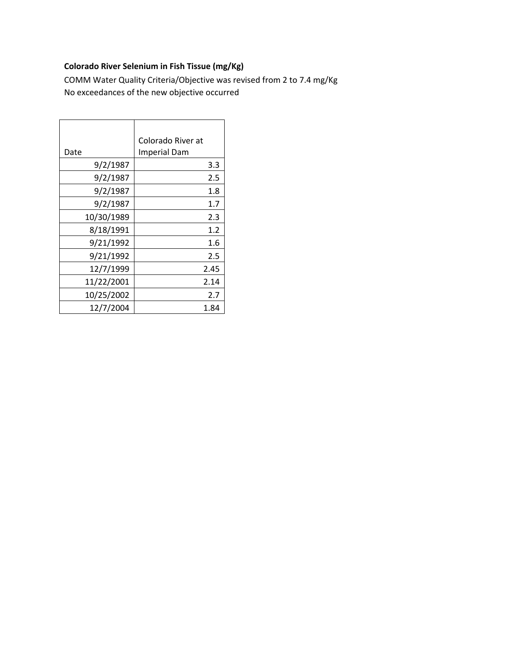# **Colorado River Selenium in Fish Tissue (mg/Kg)**

COMM Water Quality Criteria/Objective was revised from 2 to 7.4 mg/Kg No exceedances of the new objective occurred

| Date       | Colorado River at<br><b>Imperial Dam</b> |
|------------|------------------------------------------|
| 9/2/1987   | 3.3                                      |
| 9/2/1987   | 2.5                                      |
| 9/2/1987   | 1.8                                      |
| 9/2/1987   | 1.7                                      |
| 10/30/1989 | 2.3                                      |
| 8/18/1991  | 1.2                                      |
| 9/21/1992  | 1.6                                      |
| 9/21/1992  | 2.5                                      |
| 12/7/1999  | 2.45                                     |
| 11/22/2001 | 2.14                                     |
| 10/25/2002 | 2.7                                      |
| 12/7/2004  | 1.84                                     |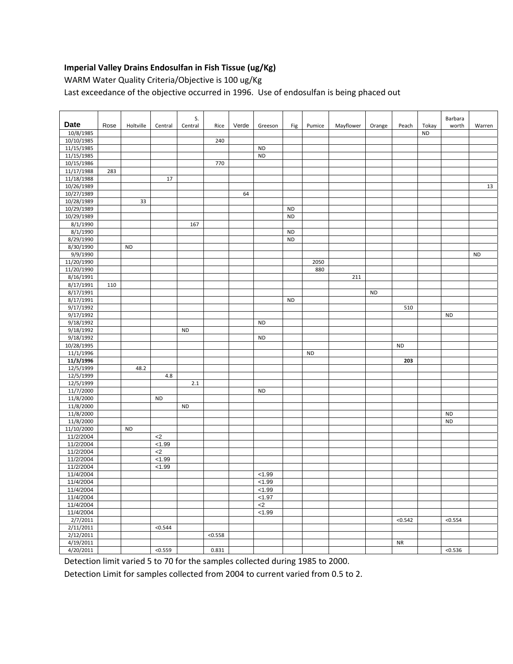### **Imperial Valley Drains Endosulfan in Fish Tissue (ug/Kg)**

WARM Water Quality Criteria/Objective is 100 ug/Kg

Last exceedance of the objective occurred in 1996. Use of endosulfan is being phaced out

| <b>Date</b>            |      |           |                | S.        |         |       |           |           |           |           |           |           |                    | Barbara   |           |
|------------------------|------|-----------|----------------|-----------|---------|-------|-----------|-----------|-----------|-----------|-----------|-----------|--------------------|-----------|-----------|
| 10/8/1985              | Rose | Holtville | Central        | Central   | Rice    | Verde | Greeson   | Fig       | Pumice    | Mayflower | Orange    | Peach     | Tokay<br><b>ND</b> | worth     | Warren    |
| 10/10/1985             |      |           |                |           | 240     |       |           |           |           |           |           |           |                    |           |           |
| 11/15/1985             |      |           |                |           |         |       | <b>ND</b> |           |           |           |           |           |                    |           |           |
| 11/15/1985             |      |           |                |           |         |       | <b>ND</b> |           |           |           |           |           |                    |           |           |
| 10/15/1986             |      |           |                |           | 770     |       |           |           |           |           |           |           |                    |           |           |
| 11/17/1988             | 283  |           |                |           |         |       |           |           |           |           |           |           |                    |           |           |
| 11/18/1988             |      |           | 17             |           |         |       |           |           |           |           |           |           |                    |           |           |
| 10/26/1989             |      |           |                |           |         |       |           |           |           |           |           |           |                    |           | 13        |
| 10/27/1989             |      |           |                |           |         | 64    |           |           |           |           |           |           |                    |           |           |
| 10/28/1989             |      | 33        |                |           |         |       |           |           |           |           |           |           |                    |           |           |
| 10/29/1989             |      |           |                |           |         |       |           | <b>ND</b> |           |           |           |           |                    |           |           |
| 10/29/1989             |      |           |                |           |         |       |           | <b>ND</b> |           |           |           |           |                    |           |           |
| 8/1/1990               |      |           |                | 167       |         |       |           |           |           |           |           |           |                    |           |           |
| 8/1/1990               |      |           |                |           |         |       |           | <b>ND</b> |           |           |           |           |                    |           |           |
| 8/29/1990              |      |           |                |           |         |       |           | <b>ND</b> |           |           |           |           |                    |           |           |
| 8/30/1990              |      | <b>ND</b> |                |           |         |       |           |           |           |           |           |           |                    |           |           |
| 9/9/1990               |      |           |                |           |         |       |           |           |           |           |           |           |                    |           | <b>ND</b> |
| 11/20/1990             |      |           |                |           |         |       |           |           | 2050      |           |           |           |                    |           |           |
| 11/20/1990             |      |           |                |           |         |       |           |           | 880       |           |           |           |                    |           |           |
| 8/16/1991              |      |           |                |           |         |       |           |           |           | 211       |           |           |                    |           |           |
| 8/17/1991              | 110  |           |                |           |         |       |           |           |           |           |           |           |                    |           |           |
| 8/17/1991              |      |           |                |           |         |       |           |           |           |           | <b>ND</b> |           |                    |           |           |
| 8/17/1991              |      |           |                |           |         |       |           | <b>ND</b> |           |           |           |           |                    |           |           |
| 9/17/1992              |      |           |                |           |         |       |           |           |           |           |           | 510       |                    |           |           |
| 9/17/1992              |      |           |                |           |         |       |           |           |           |           |           |           |                    | <b>ND</b> |           |
| 9/18/1992<br>9/18/1992 |      |           |                |           |         |       | <b>ND</b> |           |           |           |           |           |                    |           |           |
| 9/18/1992              |      |           |                | <b>ND</b> |         |       | <b>ND</b> |           |           |           |           |           |                    |           |           |
| 10/28/1995             |      |           |                |           |         |       |           |           |           |           |           | <b>ND</b> |                    |           |           |
| 11/1/1996              |      |           |                |           |         |       |           |           | <b>ND</b> |           |           |           |                    |           |           |
| 11/3/1996              |      |           |                |           |         |       |           |           |           |           |           | 203       |                    |           |           |
| 12/5/1999              |      | 48.2      |                |           |         |       |           |           |           |           |           |           |                    |           |           |
| 12/5/1999              |      |           | 4.8            |           |         |       |           |           |           |           |           |           |                    |           |           |
| 12/5/1999              |      |           |                | 2.1       |         |       |           |           |           |           |           |           |                    |           |           |
| 11/7/2000              |      |           |                |           |         |       | <b>ND</b> |           |           |           |           |           |                    |           |           |
| 11/8/2000              |      |           | <b>ND</b>      |           |         |       |           |           |           |           |           |           |                    |           |           |
| 11/8/2000              |      |           |                | <b>ND</b> |         |       |           |           |           |           |           |           |                    |           |           |
| 11/8/2000              |      |           |                |           |         |       |           |           |           |           |           |           |                    | <b>ND</b> |           |
| 11/8/2000              |      |           |                |           |         |       |           |           |           |           |           |           |                    | <b>ND</b> |           |
| 11/10/2000             |      | <b>ND</b> |                |           |         |       |           |           |           |           |           |           |                    |           |           |
| 11/2/2004              |      |           | $<$ 2          |           |         |       |           |           |           |           |           |           |                    |           |           |
| 11/2/2004              |      |           | < 1.99         |           |         |       |           |           |           |           |           |           |                    |           |           |
| 11/2/2004              |      |           | $\overline{c}$ |           |         |       |           |           |           |           |           |           |                    |           |           |
| 11/2/2004              |      |           | < 1.99         |           |         |       |           |           |           |           |           |           |                    |           |           |
| 11/2/2004              |      |           | < 1.99         |           |         |       |           |           |           |           |           |           |                    |           |           |
| 11/4/2004              |      |           |                |           |         |       | < 1.99    |           |           |           |           |           |                    |           |           |
| 11/4/2004              |      |           |                |           |         |       | < 1.99    |           |           |           |           |           |                    |           |           |
| 11/4/2004              |      |           |                |           |         |       | < 1.99    |           |           |           |           |           |                    |           |           |
| 11/4/2004              |      |           |                |           |         |       | < 1.97    |           |           |           |           |           |                    |           |           |
| 11/4/2004              |      |           |                |           |         |       | $<$ 2     |           |           |           |           |           |                    |           |           |
| 11/4/2004              |      |           |                |           |         |       | < 1.99    |           |           |           |           |           |                    |           |           |
| 2/7/2011               |      |           |                |           |         |       |           |           |           |           |           | < 0.542   |                    | < 0.554   |           |
| 2/11/2011              |      |           | < 0.544        |           |         |       |           |           |           |           |           |           |                    |           |           |
| 2/12/2011<br>4/19/2011 |      |           |                |           | < 0.558 |       |           |           |           |           |           | <b>NR</b> |                    |           |           |
|                        |      |           | < 0.559        |           | 0.831   |       |           |           |           |           |           |           |                    | < 0.536   |           |
| 4/20/2011              |      |           |                |           |         |       |           |           |           |           |           |           |                    |           |           |

Detection limit varied 5 to 70 for the samples collected during 1985 to 2000.

Detection Limit for samples collected from 2004 to current varied from 0.5 to 2.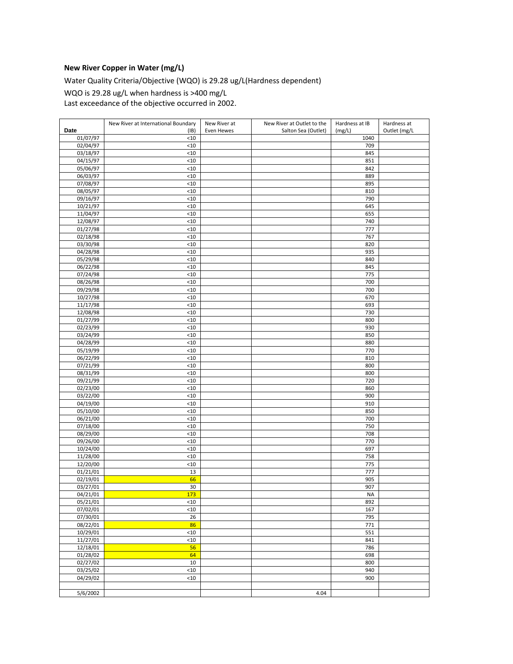### **New River Copper in Water (mg/L)**

Water Quality Criteria/Objective (WQO) is 29.28 ug/L(Hardness dependent)

WQO is 29.28 ug/L when hardness is >400 mg/L

Last exceedance of the objective occurred in 2002.

|                      | New River at International Boundary | New River at | New River at Outlet to the | Hardness at IB | Hardness at  |
|----------------------|-------------------------------------|--------------|----------------------------|----------------|--------------|
| Date                 | (IB)                                | Even Hewes   | Salton Sea (Outlet)        | (mg/L)         | Outlet (mg/L |
| 01/07/97             | $<10$                               |              |                            | 1040           |              |
| $\frac{1}{02/04/97}$ | $<$ 10                              |              |                            | 709            |              |
| 03/18/97             | $<10$                               |              |                            | 845            |              |
| 04/15/97             | $<10$                               |              |                            | 851            |              |
| 05/06/97             | < 10                                |              |                            | 842            |              |
| 06/03/97             | $<10$                               |              |                            | 889            |              |
| 07/08/97             | $<10$                               |              |                            | 895            |              |
| 08/05/97             | $<$ 10                              |              |                            | 810            |              |
| 09/16/97             | $<10$                               |              |                            | 790            |              |
| 10/21/97             | <10                                 |              |                            | 645            |              |
| 11/04/97             | $<10$                               |              |                            | 655            |              |
| 12/08/97             | $<10$                               |              |                            | 740            |              |
| 01/27/98             | $<10$                               |              |                            | 777            |              |
| 02/18/98             | $<$ 10                              |              |                            | 767            |              |
| 03/30/98             | < 10                                |              |                            | 820            |              |
| 04/28/98             | $<$ 10                              |              |                            | 935            |              |
| 05/29/98             | < 10                                |              |                            | 840            |              |
| 06/22/98             | $<10$                               |              |                            | 845            |              |
| 07/24/98             | < 10                                |              |                            | 775            |              |
| 08/26/98             | <10                                 |              |                            | 700            |              |
| 09/29/98             | < 10                                |              |                            | 700            |              |
| 10/27/98             | < 10                                |              |                            | 670            |              |
| 11/17/98             | < 10                                |              |                            | 693            |              |
| 12/08/98             | < 10                                |              |                            | 730            |              |
| 01/27/99             | < 10                                |              |                            | 800            |              |
| 02/23/99             | < 10                                |              |                            | 930            |              |
| 03/24/99<br>04/28/99 | < 10<br>$<10$                       |              |                            | 850<br>880     |              |
| 05/19/99             | < 10                                |              |                            | 770            |              |
| 06/22/99             | $<10$                               |              |                            | 810            |              |
| 07/21/99             | < 10                                |              |                            | 800            |              |
| 08/31/99             | < 10                                |              |                            | 800            |              |
| 09/21/99             | < 10                                |              |                            | 720            |              |
| 02/23/00             | < 10                                |              |                            | 860            |              |
| 03/22/00             | < 10                                |              |                            | 900            |              |
| 04/19/00             | $<10$                               |              |                            | 910            |              |
| 05/10/00             | < 10                                |              |                            | 850            |              |
| 06/21/00             | $<10$                               |              |                            | 700            |              |
| 07/18/00             | < 10                                |              |                            | 750            |              |
| 08/29/00             | $10$                                |              |                            | 708            |              |
| 09/26/00             | < 10                                |              |                            | 770            |              |
| 10/24/00             | < 10                                |              |                            | 697            |              |
| 11/28/00             | <10                                 |              |                            | 758            |              |
| 12/20/00             | <10                                 |              |                            | 775            |              |
| 01/21/01             | 13                                  |              |                            | 777            |              |
| 02/19/01             | 66                                  |              |                            | 905            |              |
| 03/27/01             | 30                                  |              |                            | 907            |              |
| 04/21/01             | 173                                 |              |                            | <b>NA</b>      |              |
| 05/21/01             | <10                                 |              |                            | 892            |              |
| 07/02/01             | $10$                                |              |                            | 167            |              |
| 07/30/01             | 26                                  |              |                            | 795            |              |
| 08/22/01             | 86                                  |              |                            | 771            |              |
| 10/29/01             | $<$ 10                              |              |                            | 551            |              |
| 11/27/01             | $10$                                |              |                            | 841            |              |
| 12/18/01             | 56<br>64                            |              |                            | 786            |              |
| 01/28/02<br>02/27/02 | 10                                  |              |                            | 698<br>800     |              |
| 03/25/02             | <10                                 |              |                            | 940            |              |
| 04/29/02             | $10$                                |              |                            | 900            |              |
|                      |                                     |              |                            |                |              |
| 5/6/2002             |                                     |              | 4.04                       |                |              |
|                      |                                     |              |                            |                |              |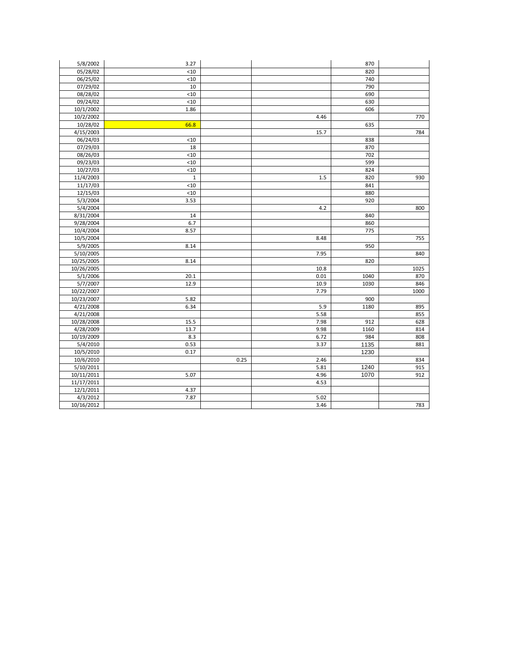| 5/8/2002   | 3.27        |      |      | 870  |      |
|------------|-------------|------|------|------|------|
| 05/28/02   | < 10        |      |      | 820  |      |
| 06/25/02   | <10         |      |      | 740  |      |
| 07/29/02   | 10          |      |      | 790  |      |
| 08/28/02   | $<10$       |      |      | 690  |      |
| 09/24/02   | $<10$       |      |      | 630  |      |
| 10/1/2002  | 1.86        |      |      | 606  |      |
| 10/2/2002  |             |      | 4.46 |      | 770  |
| 10/28/02   | 66.8        |      |      | 635  |      |
| 4/15/2003  |             |      | 15.7 |      | 784  |
| 06/24/03   | < 10        |      |      | 838  |      |
| 07/29/03   | 18          |      |      | 870  |      |
| 08/26/03   | < 10        |      |      | 702  |      |
| 09/23/03   | $<10$       |      |      | 599  |      |
| 10/27/03   | < 10        |      |      | 824  |      |
| 11/4/2003  | $\mathbf 1$ |      | 1.5  | 820  | 930  |
| 11/17/03   | < 10        |      |      | 841  |      |
| 12/15/03   | $<10$       |      |      | 880  |      |
| 5/3/2004   | 3.53        |      |      | 920  |      |
| 5/4/2004   |             |      | 4.2  |      | 800  |
| 8/31/2004  | 14          |      |      | 840  |      |
| 9/28/2004  | 6.7         |      |      | 860  |      |
| 10/4/2004  | 8.57        |      |      | 775  |      |
| 10/5/2004  |             |      | 8.48 |      | 755  |
| 5/9/2005   | 8.14        |      |      | 950  |      |
| 5/10/2005  |             |      | 7.95 |      | 840  |
| 10/25/2005 | 8.14        |      |      | 820  |      |
| 10/26/2005 |             |      | 10.8 |      | 1025 |
| 5/1/2006   | 20.1        |      | 0.01 | 1040 | 870  |
| 5/7/2007   | 12.9        |      | 10.9 | 1030 | 846  |
| 10/22/2007 |             |      | 7.79 |      | 1000 |
| 10/23/2007 | 5.82        |      |      | 900  |      |
| 4/21/2008  | 6.34        |      | 5.9  | 1180 | 895  |
| 4/21/2008  |             |      | 5.58 |      | 855  |
| 10/28/2008 | 15.5        |      | 7.98 | 912  | 628  |
| 4/28/2009  | 13.7        |      | 9.98 | 1160 | 814  |
| 10/19/2009 | 8.3         |      | 6.72 | 984  | 808  |
| 5/4/2010   | 0.53        |      | 3.37 | 1135 | 881  |
| 10/5/2010  | 0.17        |      |      | 1230 |      |
| 10/6/2010  |             | 0.25 | 2.46 |      | 834  |
| 5/10/2011  |             |      | 5.81 | 1240 | 915  |
| 10/11/2011 | 5.07        |      | 4.96 | 1070 | 912  |
| 11/17/2011 |             |      | 4.53 |      |      |
| 12/1/2011  | 4.37        |      |      |      |      |
| 4/3/2012   | 7.87        |      | 5.02 |      |      |
| 10/16/2012 |             |      | 3.46 |      | 783  |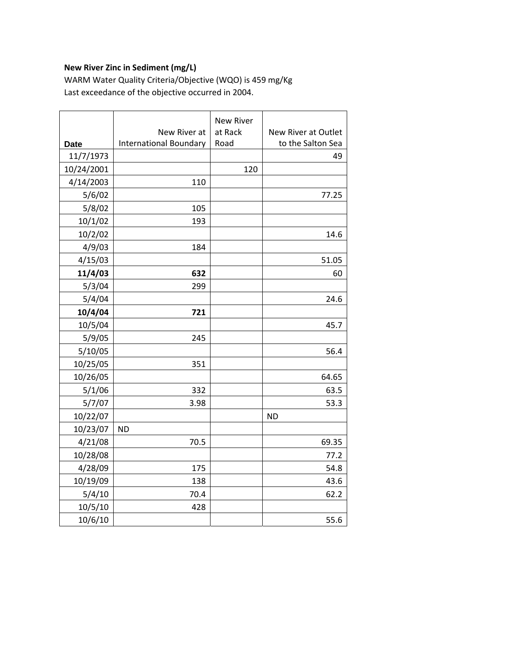# **New River Zinc in Sediment (mg/L)**

WARM Water Quality Criteria/Objective (WQO) is 459 mg/Kg Last exceedance of the objective occurred in 2004.

|             |                               | <b>New River</b> |                     |
|-------------|-------------------------------|------------------|---------------------|
|             | New River at                  | at Rack          | New River at Outlet |
| <b>Date</b> | <b>International Boundary</b> | Road             | to the Salton Sea   |
| 11/7/1973   |                               |                  | 49                  |
| 10/24/2001  |                               | 120              |                     |
| 4/14/2003   | 110                           |                  |                     |
| 5/6/02      |                               |                  | 77.25               |
| 5/8/02      | 105                           |                  |                     |
| 10/1/02     | 193                           |                  |                     |
| 10/2/02     |                               |                  | 14.6                |
| 4/9/03      | 184                           |                  |                     |
| 4/15/03     |                               |                  | 51.05               |
| 11/4/03     | 632                           |                  | 60                  |
| 5/3/04      | 299                           |                  |                     |
| 5/4/04      |                               |                  | 24.6                |
| 10/4/04     | 721                           |                  |                     |
| 10/5/04     |                               |                  | 45.7                |
| 5/9/05      | 245                           |                  |                     |
| 5/10/05     |                               |                  | 56.4                |
| 10/25/05    | 351                           |                  |                     |
| 10/26/05    |                               |                  | 64.65               |
| 5/1/06      | 332                           |                  | 63.5                |
| 5/7/07      | 3.98                          |                  | 53.3                |
| 10/22/07    |                               |                  | <b>ND</b>           |
| 10/23/07    | <b>ND</b>                     |                  |                     |
| 4/21/08     | 70.5                          |                  | 69.35               |
| 10/28/08    |                               |                  | 77.2                |
| 4/28/09     | 175                           |                  | 54.8                |
| 10/19/09    | 138                           |                  | 43.6                |
| 5/4/10      | 70.4                          |                  | 62.2                |
| 10/5/10     | 428                           |                  |                     |
| 10/6/10     |                               |                  | 55.6                |